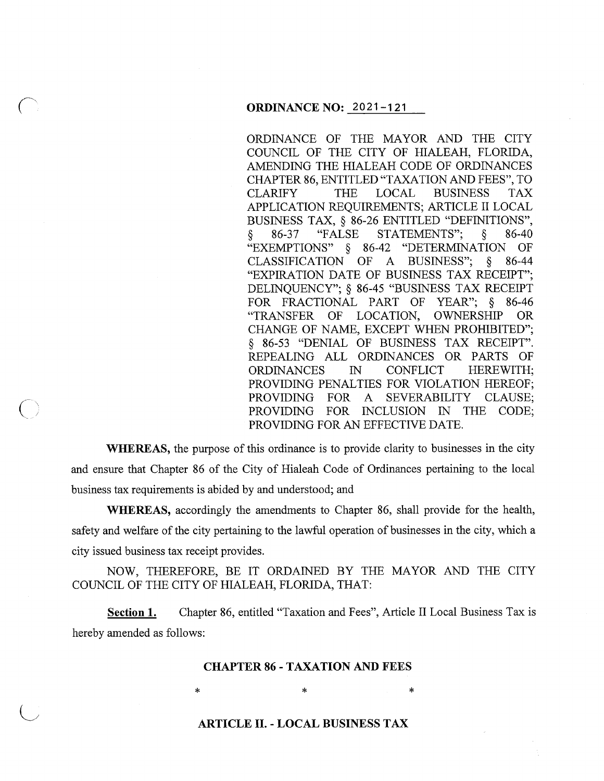ORDINANCE OF THE MAYOR AND THE CITY COUNCIL OF THE CITY OF HIALEAH, FLORIDA, AMENDING THE HIALEAH CODE OF ORDINANCES CHAPTER 86, ENTITLED "TAXATION AND FEES", TO CLARIFY THE LOCAL BUSINESS TAX APPLICATION REQUIREMENTS; ARTICLE II LOCAL BUSINESS TAX, § 86-26 ENTITLED "DEFINITIONS", § 86-37 "FALSE STATEMENTS"; § 86-40 "EXEMPTIONS" § 86-42 "DETERMINATION OF CLASSIFICATION OF A BUSINESS"; § 86-44 "EXPIRATION DATE OF BUSINESS TAX RECEIPT"; DELINQUENCY"; § 86-45 "BUSINESS TAX RECEIPT FOR FRACTIONAL PART OF YEAR"; § 86-46 "TRANSFER OF LOCATION, OWNERSHIP OR CHANGE OF NAME, EXCEPT WHEN PROHIBITED"; § 86-53 "DENIAL OF BUSINESS TAX RECEIPT". REPEALING ALL ORDINANCES OR PARTS OF ORDINANCES IN CONFLICT HEREWITH; PROVIDING PENALTIES FOR VIOLATION HEREOF; PROVIDING FOR A SEVERABILITY CLAUSE; PROVIDING FOR INCLUSION IN THE CODE; PROVIDING FOR AN EFFECTIVE DATE.

**WHEREAS,** the purpose of this ordinance is to provide clarity to businesses in the city and ensure that Chapter 86 of the City of Hialeah Code of Ordinances pertaining to the local business tax requirements is abided by and understood; and

 $\big($ 

**WHEREAS,** accordingly the amendments to Chapter 86, shall provide for the health, safety and welfare of the city pertaining to the lawful operation of businesses in the city, which a city issued business tax receipt provides.

NOW, THEREFORE, BE IT ORDAINED BY THE MAYOR AND THE CITY COUNCIL OF THE CITY OF HIALEAH, FLORIDA, THAT:

Section 1. Chapter 86, entitled "Taxation and Fees", Article II Local Business Tax is hereby amended as follows:

#### **CHAPTER 86 - TAXATION AND FEES**

 $*$  \*  $*$  \*  $*$ 

# **ARTICLE II. - LOCAL BUSINESS TAX**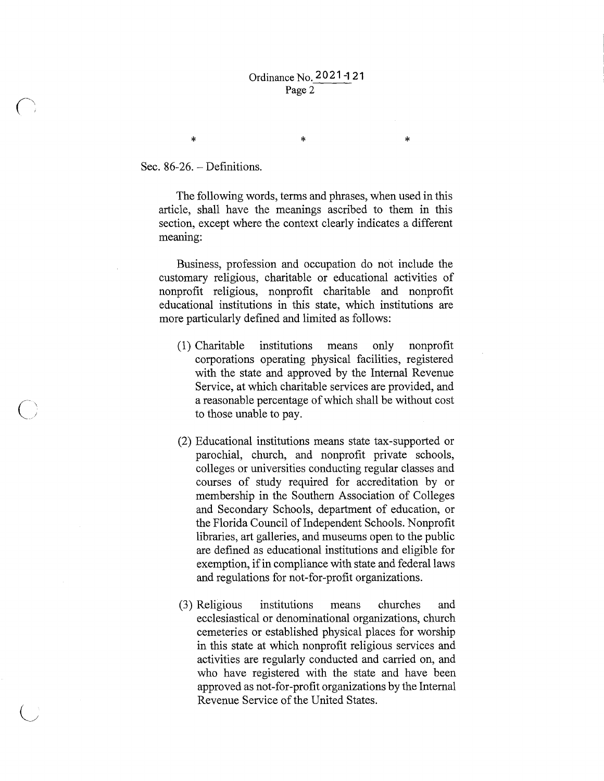\* \*

Sec. 86-26. – Definitions.

\*

The following words, terms and phrases, when used in this article, shall have the meanings ascribed to them in this section, except where the context clearly indicates a different meaning:

Business, profession and occupation do not include the customary religious, charitable or educational activities of nonprofit religious, nonprofit charitable and nonprofit educational institutions in this state, which institutions are more particularly defined and limited as follows:

- (1) Charitable institutions means only nonprofit corporations operating physical facilities, registered with the state and approved by the Internal Revenue Service, at which charitable services are provided, and a reasonable percentage of which shall be without cost to those unable to pay.
- (2) Educational institutions means state tax-supported or parochial, church, and nonprofit private schools, colleges or universities conducting regular classes and courses of study required for accreditation by or membership in the Southern Association of Colleges and Secondary Schools, department of education, or the Florida Council of Independent Schools. Nonprofit libraries, art galleries, and museums open to the public are defined as educational institutions and eligible for exemption, if in compliance with state and federal laws and regulations for not-for-profit organizations.
- (3) Religious institutions means churches and ecclesiastical or denominational organizations, church cemeteries or established physical places for worship in this state at which nonprofit religious services and activities are regularly conducted and carried on, and who have registered with the state and have been approved as not-for-profit organizations by the Internal Revenue Service of the United States.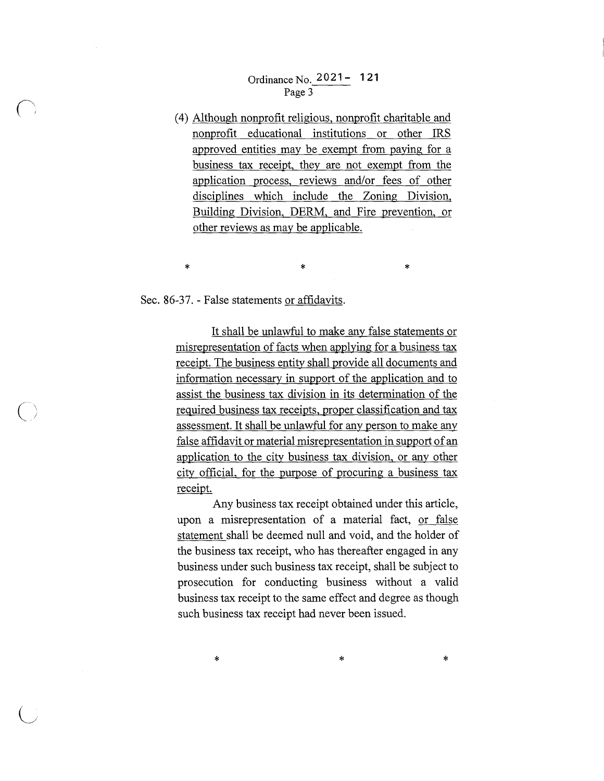# Ordinance No. 2021- **121**  Page 3

(4) Although nonprofit religious, nonprofit charitable and nonprofit educational institutions or other IRS approved entities may be exempt from paying for a business tax receipt, they are not exempt from the application process, reviews and/or fees of other disciplines which include the Zoning Division, Building Division, DERM, and Fire prevention, or other reviews as may be applicable.

 $\ddot{x}$  \*  $\ddot{x}$ 

#### Sec. 86-37. - False statements or affidavits.

 $\bigcap$ 

It shall be unlawful to make any false statements or misrepresentation of facts when applying for a business tax receipt. The business entity shall provide all documents and information necessary in support of the application and to assist the business tax division in its determination of the required business tax receipts, proper classification and tax assessment. It shall be unlawful for any person to make any false affidavit or material misrepresentation in support of an application to the city business tax division, or any other city official, for the purpose of procuring a business tax receipt.

Any business tax receipt obtained under this article, upon a misrepresentation of a material fact, or false statement shall be deemed null and void, and the holder of the business tax receipt, who has thereafter engaged in any business under such business tax receipt, shall be subject to prosecution for conducting business without a valid business tax receipt to the same effect and degree as though such business tax receipt had never been issued.

 $*$  \*  $*$  \*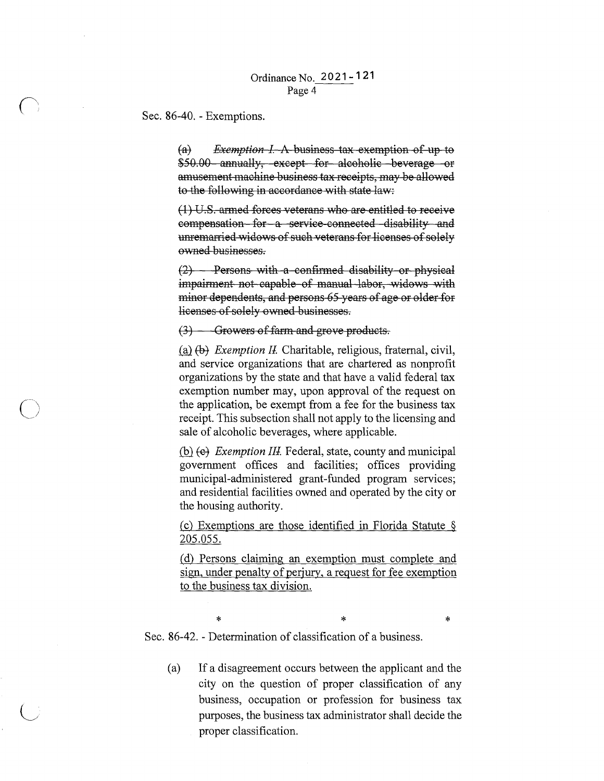## Ordinance No. 2 0 21 - 1 21 Page 4

Sec. 86-40. - Exemptions.

 $\bigcap$ 

 $\bigcup$ 

(a) *Exemption I.* A business tax exemption of up to \$50.00 annually, except for alcoholic beverage or amusement machine business tax receipts, may be allowed to the following in accordance with state law:

 $(1)$  U.S. armed forces veterans who are entitled to receive compensation for a service connected disability and unremarried widows of such veterans for licenses of solely ovmed businesses.

 $(2)$  - Persons with a confirmed disability or physical impairment not capable of manual labor, widows with minor dependents, and persons 65 years of age or older for licenses of solely ovmed businesses.

### $(3)$  - Growers of farm and grove products.

(a) (b) *Exemption II.* Charitable, religious, fraternal, civil, and service organizations that are chartered as nonprofit organizations by the state and that have a valid federal tax exemption number may, upon approval of the request on the application, be exempt from a fee for the business tax receipt. This subsection shall not apply to the licensing and sale of alcoholic beverages, where applicable.

.(hl *fe1 Exemption Ill* Federal, state, county and municipal government offices and facilities; offices providing municipal-administered grant-funded program services; and residential facilities owned and operated by the city or the housing authority.

(c) Exemptions are those identified in Florida Statute  $\S$ 205.055.

( d) Persons claiming an exemption must complete and sign, under penalty of perjury, a request for fee exemption to the business tax division.

 $*$   $*$   $*$ Sec. 86-42. - Determination of classification of a business.

(a) If a disagreement occurs between the applicant and the city on the question of proper classification of any business, occupation or profession for business tax purposes, the business tax administrator shall decide the proper classification.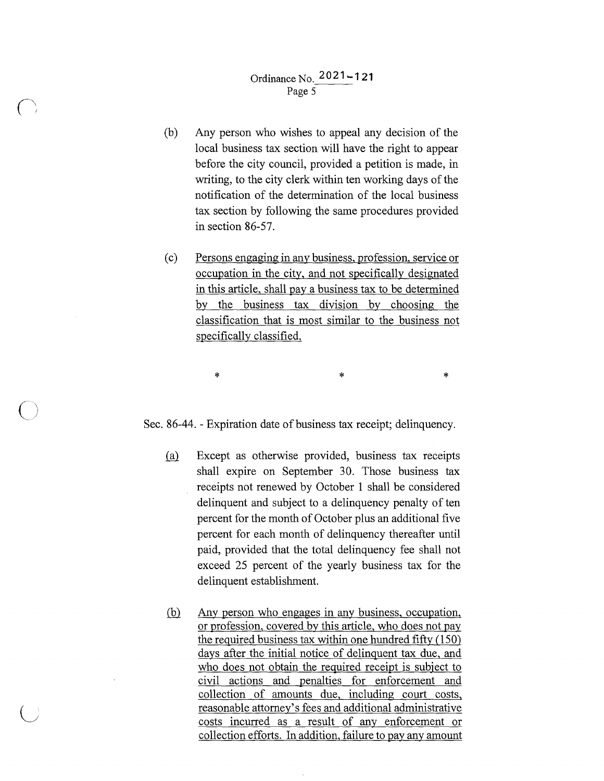$\left( \begin{array}{cc} & j \end{array} \right)$ 

 $\overline{\bigcirc}$ 

 $\bigcup$ 

- (b) Any person who wishes to appeal any decision of the local business tax section will have the right to appear before the city council, provided a petition is made, in writing, to the city clerk within ten working days of the notification of the determination of the local business tax section by following the same procedures provided in section 86-57.
- ( c) Persons engaging in any business, profession, service or occupation in the city, and not specifically designated in this article, shall pay a business tax to be determined by the business tax division by choosing the classification that is most similar to the business not specifically classified.

Sec. 86-44. - Expiration date of business tax receipt; delinquency.

 $*$  \*  $*$  \*  $*$ 

- (a) Except as otherwise provided, business tax receipts shall expire on September 30. Those business tax receipts not renewed by October 1 shall be considered delinquent and subject to a delinquency penalty of ten percent for the month of October plus an additional five percent for each month of delinquency thereafter until paid, provided that the total delinquency fee shall not exceed 25 percent of the yearly business tax for the delinquent establishment.
- (b) Any person who engages in any business, occupation, or profession, covered by this article, who does not pay the required business tax within one hundred fifty (150) days after the initial notice of delinquent tax due, and who does not obtain the required receipt is subject to civil actions and penalties for enforcement and collection of amounts due, including court costs, reasonable attorney's fees and additional administrative costs incurred as a result of any enforcement or collection efforts. In addition, failure to pay any amount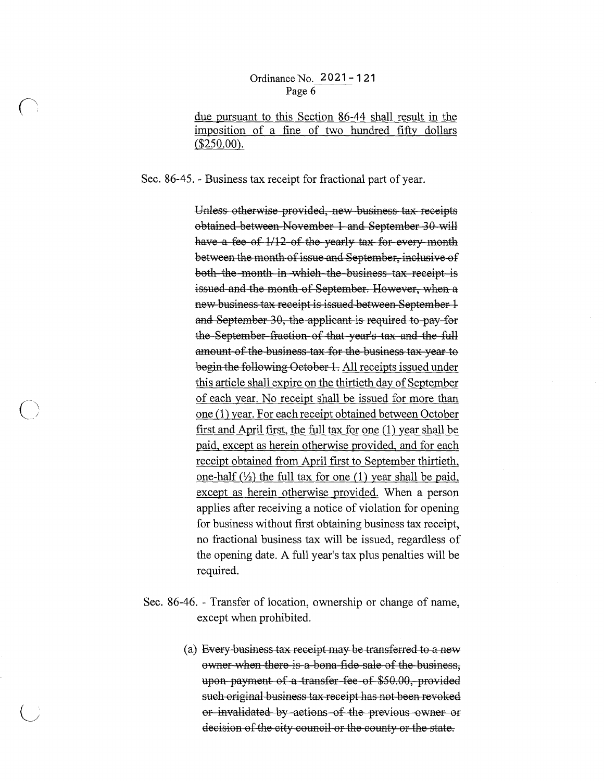## OrdinanceNo. **2021-121**  Page 6

due pursuant to this Section 86-44 shall result in the imposition of a fine of two hundred fifty dollars  $($250.00).$ 

Sec. 86-45. - Business tax receipt for fractional part of year.

Unless otherwise provided, new business tax receipts obtained between November 1 and September 30 will have a fee of  $1/12$  of the yearly tax for every month between the month of issue and September, inclusive of both the month in which the business tax receipt is issued and the month of September. However, when a new business tax receipt is issued between September 1 and September 30, the applicant is required to pay for the September fraction of that year's tax and the full amount of the business tax for the business tax year to begin the following October 1. All receipts issued under this article shall expire on the thirtieth day of September of each year. No receipt shall be issued for more than one (1) year. For each receipt obtained between October first and April first, the full tax for one (1) year shall be paid, except as herein otherwise provided, and for each receipt obtained from April first to September thirtieth, one-half  $(\frac{1}{2})$  the full tax for one (1) year shall be paid, except as herein otherwise provided. When a person applies after receiving a notice of violation for opening for business without first obtaining business tax receipt, no fractional business tax will be issued, regardless of the opening date. A full year's tax plus penalties will be required.

- Sec. 86-46. Transfer of location, ownership or change of name, except when prohibited.
	- (a) Every business tax receipt may be transferred to a new ovmer when there is a bona fide sale of the business, upon payment of a transfer fee of \$50.00, provided such original business tax receipt has not been revoked or invalidated by actions of the previous ovmer or decision of the city council or the county or the state.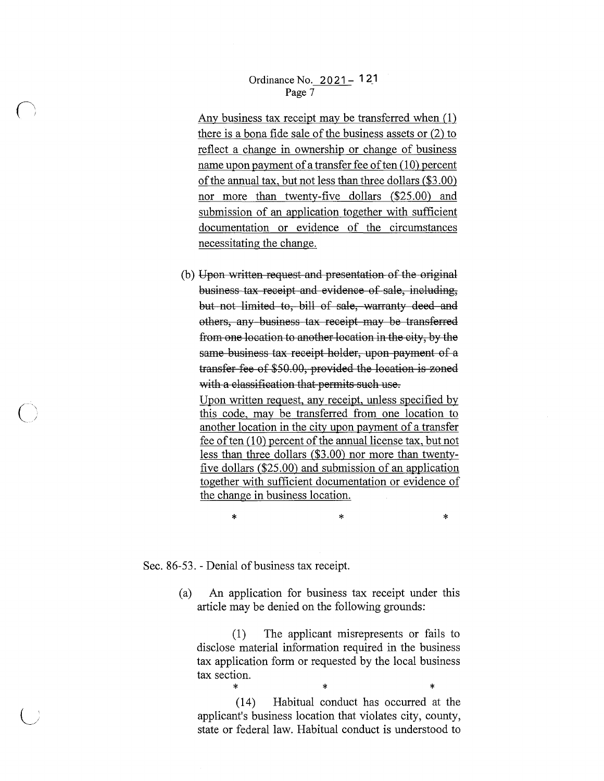### Ordinance No. 2 O **21 - 1 2\_1**  Page 7

Any business tax receipt may be transferred when ( **1)**  there is a bona fide sale of the business assets or (2) to reflect a change in ownership or change of business name upon payment of a transfer fee of ten ( 10) percent of the annual tax, but not less than three dollars (\$3.00) nor more than twenty-five dollars (\$25.00) and submission of an application together with sufficient documentation or evidence of the circumstances necessitating the change.

(b) Upon written request and presentation of the original business tax receipt and evidence of sale, including, but not limited to, bill of sale, warranty deed and others, any business tax receipt may be transferred from one location to another location in the city, by the same business tax receipt holder, upon payment of a transfer fee of \$50.00, provided the location is zoned with a classification that permits such use.

Upon written request, any receipt, unless specified by this code, may be transferred from one location to another location in the city upon payment of a transfer fee of ten (10) percent of the annual license tax, but not less than three dollars (\$3.00) nor more than twentyfive dollars (\$25.00) and submission of an application together with sufficient documentation or evidence of the change in business location.

 $*$  \*  $*$  \*

Sec. 86-53. - Denial of business tax receipt.

(a) An application for business tax receipt under this article may be denied on the following grounds:

(1) The applicant misrepresents or fails to disclose material information required in the business tax application form or requested by the local business tax section.

\* \* \* (14) Habitual conduct has occurred at the applicant's business location that violates city, county, state or federal law. Habitual conduct is understood to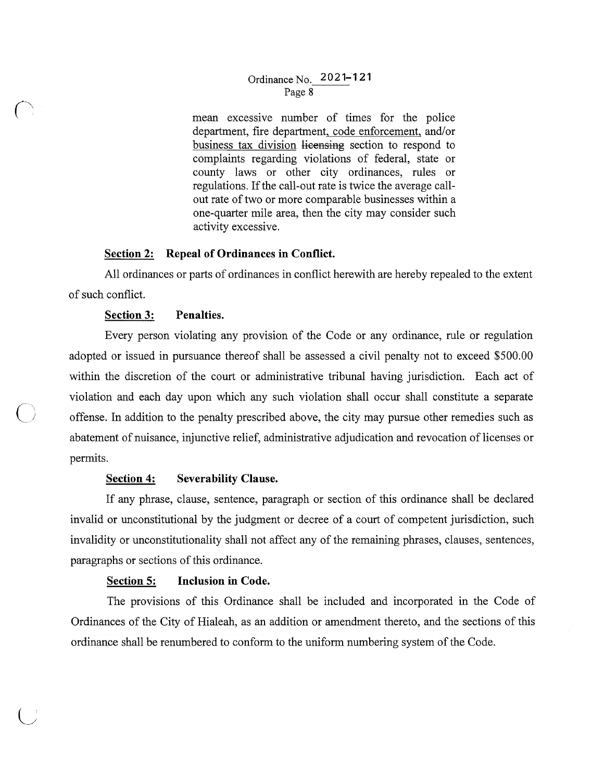## Ordinance No. **2021-121**  Page 8

mean excessive number of times for the police department, fire department, code enforcement, and/or business tax division licensing section to respond to complaints regarding violations of federal, state or county laws or other city ordinances, rules or regulations. If the call-out rate is twice the average callout rate of two or more comparable businesses within a one-quarter mile area, then the city may consider such activity excessive.

## **Section 2: Repeal of Ordinances in Conflict.**

All ordinances or parts of ordinances in conflict herewith are hereby repealed to the extent of such conflict.

## **Section 3: Penalties.**

Every person violating any provision of the Code or any ordinance, rule or regulation adopted or issued in pursuance thereof shall be assessed a civil penalty not to exceed \$500.00 within the discretion of the court or administrative tribunal having jurisdiction. Each act of violation and each day upon which any such violation shall occur shall constitute a separate ( ) offense. In addition to the penalty prescribed above, the city may pursue other remedies such as abatement of nuisance, injunctive relief, administrative adjudication and revocation of licenses or permits.

# **Section 4: Severability Clause.**

If any phrase, clause, sentence, paragraph or section of this ordinance shall be declared invalid or unconstitutional by the judgment or decree of a court of competent jurisdiction, such invalidity or unconstitutionality shall not affect any of the remaining phrases, clauses, sentences, paragraphs or sections of this ordinance.

## **Section 5: Inclusion in Code.**

The provisions of this Ordinance shall be included and incorporated in the Code of Ordinances of the City of Hialeah, as an addition or amendment thereto, and the sections of this ordinance shall be renumbered to conform to the uniform numbering system of the Code.